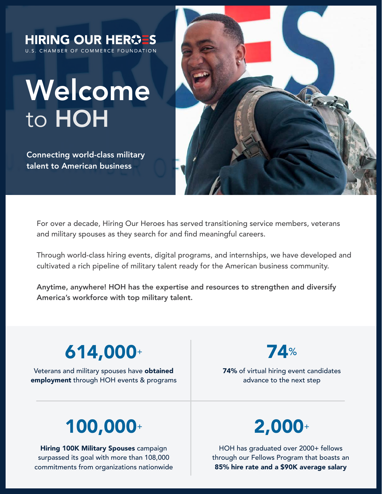

For over a decade, Hiring Our Heroes has served transitioning service members, veterans and military spouses as they search for and find meaningful careers.

Through world-class hiring events, digital programs, and internships, we have developed and cultivated a rich pipeline of military talent ready for the American business community.

Anytime, anywhere! HOH has the expertise and resources to strengthen and diversify America's workforce with top military talent.

## 614,000<sup>+</sup>

Veterans and military spouses have obtained employment through HOH events & programs 74%

74% of virtual hiring event candidates advance to the next step

# 100,000<sup>+</sup> 2,000<sup>+</sup>

**Hiring 100K Military Spouses campaign** surpassed its goal with more than 108,000 commitments from organizations nationwide

HOH has graduated over 2000+ fellows through our Fellows Program that boasts an 85% hire rate and a \$90K average salary